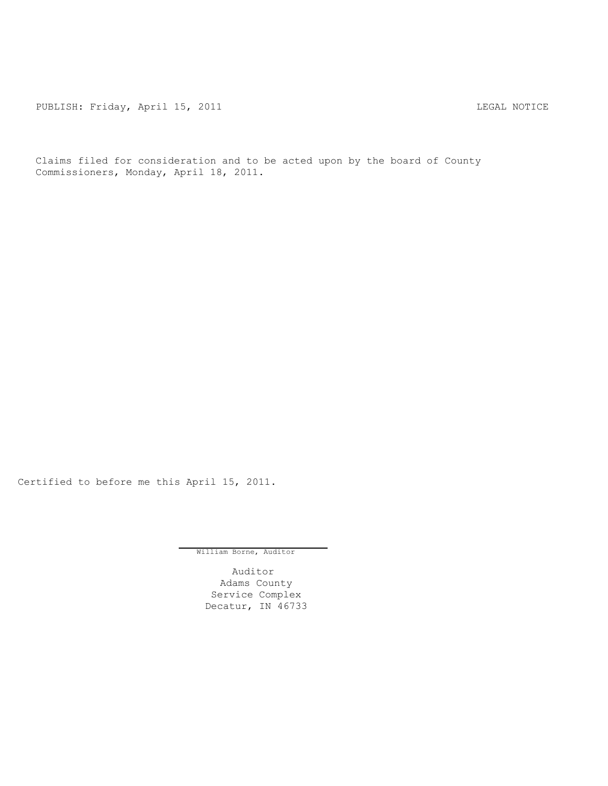PUBLISH: Friday, April 15, 2011 LEGAL NOTICE

Claims filed for consideration and to be acted upon by the board of County Commissioners, Monday, April 18, 2011.

Certified to before me this April 15, 2011.

William Borne, Auditor

Auditor Adams County Service Complex Decatur, IN 46733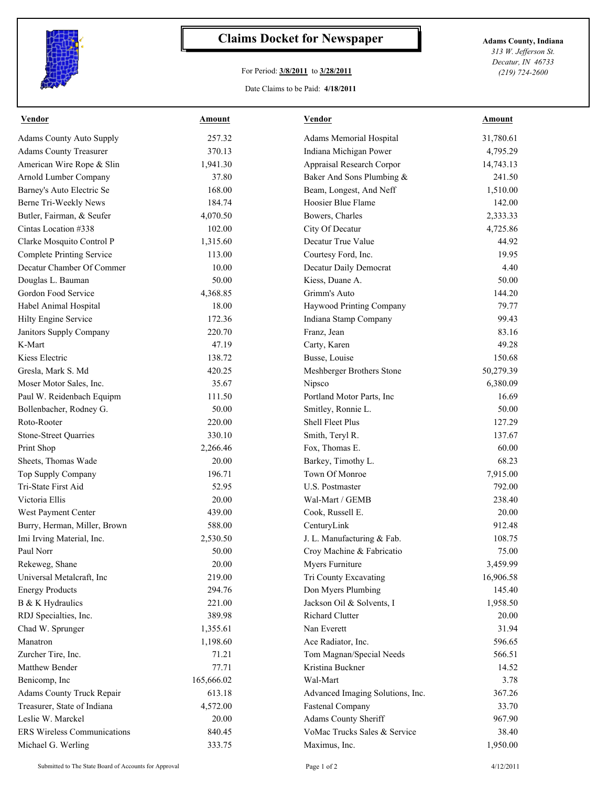

## **Claims Docket for Newspaper Adams County, Indiana**

## For Period: **3/8/2011** to **3/28/2011**

Date Claims to be Paid: **4/18/2011**

*313 W. Jefferson St. Decatur, IN 46733 (219) 724-2600*

| 257.32<br><b>Adams County Auto Supply</b><br>Adams Memorial Hospital<br>370.13<br>Indiana Michigan Power<br><b>Adams County Treasurer</b><br>American Wire Rope & Slin<br>1,941.30<br>Appraisal Research Corpor<br>Arnold Lumber Company<br>Baker And Sons Plumbing &<br>37.80<br>Barney's Auto Electric Se<br>168.00<br>Beam, Longest, And Neff<br>Berne Tri-Weekly News<br>184.74<br>Hoosier Blue Flame<br>Butler, Fairman, & Seufer<br>4,070.50<br>Bowers, Charles<br>Cintas Location #338<br>102.00<br>City Of Decatur<br>Clarke Mosquito Control P<br>1,315.60<br>Decatur True Value<br><b>Complete Printing Service</b><br>Courtesy Ford, Inc.<br>113.00<br>Decatur Chamber Of Commer<br>10.00<br>Decatur Daily Democrat<br>Douglas L. Bauman<br>50.00<br>Kiess, Duane A.<br>Gordon Food Service<br>4,368.85<br>Grimm's Auto<br>Habel Animal Hospital<br>18.00<br>Haywood Printing Company<br>Hilty Engine Service<br>172.36<br>Indiana Stamp Company<br>220.70<br>Franz, Jean<br>Janitors Supply Company<br>K-Mart<br>47.19<br>Carty, Karen<br>Kiess Electric<br>138.72<br>Busse, Louise<br>420.25<br>Gresla, Mark S. Md<br>Meshberger Brothers Stone<br>35.67<br>Moser Motor Sales, Inc.<br>Nipsco<br>Paul W. Reidenbach Equipm<br>111.50<br>Portland Motor Parts, Inc<br>Bollenbacher, Rodney G.<br>50.00<br>Smitley, Ronnie L.<br>Roto-Rooter<br>220.00<br><b>Shell Fleet Plus</b><br><b>Stone-Street Quarries</b><br>330.10<br>Smith, Teryl R.<br>Fox, Thomas E.<br>Print Shop<br>2,266.46<br>Sheets, Thomas Wade<br>20.00<br>Barkey, Timothy L.<br>196.71<br>Town Of Monroe<br>Top Supply Company<br>Tri-State First Aid<br>52.95<br>U.S. Postmaster<br>Victoria Ellis<br>20.00<br>Wal-Mart / GEMB<br>West Payment Center<br>439.00<br>Cook, Russell E.<br>Burry, Herman, Miller, Brown<br>588.00<br>CenturyLink<br>Imi Irving Material, Inc.<br>2,530.50<br>J. L. Manufacturing & Fab.<br>50.00<br>Croy Machine & Fabricatio<br>Paul Norr<br>Rekeweg, Shane<br>20.00<br>Myers Furniture<br>Universal Metalcraft, Inc<br>219.00<br>Tri County Excavating<br>294.76<br>Don Myers Plumbing<br><b>Energy Products</b><br>221.00<br>B & K Hydraulics<br>Jackson Oil & Solvents, I<br>389.98<br>Richard Clutter<br>RDJ Specialties, Inc.<br>1,355.61<br>Nan Everett<br>Chad W. Sprunger<br>Manatron<br>1,198.60<br>Ace Radiator, Inc.<br>Tom Magnan/Special Needs<br>Zurcher Tire, Inc.<br>71.21<br>Kristina Buckner<br>Matthew Bender<br>77.71<br>165,666.02<br>Benicomp, Inc<br>Wal-Mart<br>613.18<br>Adams County Truck Repair<br>Advanced Imaging Solutions, Inc.<br>Treasurer, State of Indiana<br>4,572.00<br><b>Fastenal Company</b><br>Leslie W. Marckel<br>Adams County Sheriff<br>20.00<br><b>ERS Wireless Communications</b><br>VoMac Trucks Sales & Service<br>840.45 | <b>Vendor</b> | <b>Amount</b> | <b>Vendor</b> | <b>Amount</b>     |
|------------------------------------------------------------------------------------------------------------------------------------------------------------------------------------------------------------------------------------------------------------------------------------------------------------------------------------------------------------------------------------------------------------------------------------------------------------------------------------------------------------------------------------------------------------------------------------------------------------------------------------------------------------------------------------------------------------------------------------------------------------------------------------------------------------------------------------------------------------------------------------------------------------------------------------------------------------------------------------------------------------------------------------------------------------------------------------------------------------------------------------------------------------------------------------------------------------------------------------------------------------------------------------------------------------------------------------------------------------------------------------------------------------------------------------------------------------------------------------------------------------------------------------------------------------------------------------------------------------------------------------------------------------------------------------------------------------------------------------------------------------------------------------------------------------------------------------------------------------------------------------------------------------------------------------------------------------------------------------------------------------------------------------------------------------------------------------------------------------------------------------------------------------------------------------------------------------------------------------------------------------------------------------------------------------------------------------------------------------------------------------------------------------------------------------------------------------------------------------------------------------------------------------------------------------------------------------------------------------------------------------------------------------------------------------------------------------------------------------------------------------------------------------------|---------------|---------------|---------------|-------------------|
|                                                                                                                                                                                                                                                                                                                                                                                                                                                                                                                                                                                                                                                                                                                                                                                                                                                                                                                                                                                                                                                                                                                                                                                                                                                                                                                                                                                                                                                                                                                                                                                                                                                                                                                                                                                                                                                                                                                                                                                                                                                                                                                                                                                                                                                                                                                                                                                                                                                                                                                                                                                                                                                                                                                                                                                          |               |               |               | 31,780.61         |
|                                                                                                                                                                                                                                                                                                                                                                                                                                                                                                                                                                                                                                                                                                                                                                                                                                                                                                                                                                                                                                                                                                                                                                                                                                                                                                                                                                                                                                                                                                                                                                                                                                                                                                                                                                                                                                                                                                                                                                                                                                                                                                                                                                                                                                                                                                                                                                                                                                                                                                                                                                                                                                                                                                                                                                                          |               |               |               | 4,795.29          |
|                                                                                                                                                                                                                                                                                                                                                                                                                                                                                                                                                                                                                                                                                                                                                                                                                                                                                                                                                                                                                                                                                                                                                                                                                                                                                                                                                                                                                                                                                                                                                                                                                                                                                                                                                                                                                                                                                                                                                                                                                                                                                                                                                                                                                                                                                                                                                                                                                                                                                                                                                                                                                                                                                                                                                                                          |               |               |               | 14,743.13         |
|                                                                                                                                                                                                                                                                                                                                                                                                                                                                                                                                                                                                                                                                                                                                                                                                                                                                                                                                                                                                                                                                                                                                                                                                                                                                                                                                                                                                                                                                                                                                                                                                                                                                                                                                                                                                                                                                                                                                                                                                                                                                                                                                                                                                                                                                                                                                                                                                                                                                                                                                                                                                                                                                                                                                                                                          |               |               |               | 241.50            |
|                                                                                                                                                                                                                                                                                                                                                                                                                                                                                                                                                                                                                                                                                                                                                                                                                                                                                                                                                                                                                                                                                                                                                                                                                                                                                                                                                                                                                                                                                                                                                                                                                                                                                                                                                                                                                                                                                                                                                                                                                                                                                                                                                                                                                                                                                                                                                                                                                                                                                                                                                                                                                                                                                                                                                                                          |               |               |               | 1,510.00          |
|                                                                                                                                                                                                                                                                                                                                                                                                                                                                                                                                                                                                                                                                                                                                                                                                                                                                                                                                                                                                                                                                                                                                                                                                                                                                                                                                                                                                                                                                                                                                                                                                                                                                                                                                                                                                                                                                                                                                                                                                                                                                                                                                                                                                                                                                                                                                                                                                                                                                                                                                                                                                                                                                                                                                                                                          |               |               |               | 142.00            |
|                                                                                                                                                                                                                                                                                                                                                                                                                                                                                                                                                                                                                                                                                                                                                                                                                                                                                                                                                                                                                                                                                                                                                                                                                                                                                                                                                                                                                                                                                                                                                                                                                                                                                                                                                                                                                                                                                                                                                                                                                                                                                                                                                                                                                                                                                                                                                                                                                                                                                                                                                                                                                                                                                                                                                                                          |               |               |               | 2,333.33          |
|                                                                                                                                                                                                                                                                                                                                                                                                                                                                                                                                                                                                                                                                                                                                                                                                                                                                                                                                                                                                                                                                                                                                                                                                                                                                                                                                                                                                                                                                                                                                                                                                                                                                                                                                                                                                                                                                                                                                                                                                                                                                                                                                                                                                                                                                                                                                                                                                                                                                                                                                                                                                                                                                                                                                                                                          |               |               |               | 4,725.86          |
|                                                                                                                                                                                                                                                                                                                                                                                                                                                                                                                                                                                                                                                                                                                                                                                                                                                                                                                                                                                                                                                                                                                                                                                                                                                                                                                                                                                                                                                                                                                                                                                                                                                                                                                                                                                                                                                                                                                                                                                                                                                                                                                                                                                                                                                                                                                                                                                                                                                                                                                                                                                                                                                                                                                                                                                          |               |               |               | 44.92             |
|                                                                                                                                                                                                                                                                                                                                                                                                                                                                                                                                                                                                                                                                                                                                                                                                                                                                                                                                                                                                                                                                                                                                                                                                                                                                                                                                                                                                                                                                                                                                                                                                                                                                                                                                                                                                                                                                                                                                                                                                                                                                                                                                                                                                                                                                                                                                                                                                                                                                                                                                                                                                                                                                                                                                                                                          |               |               |               | 19.95             |
|                                                                                                                                                                                                                                                                                                                                                                                                                                                                                                                                                                                                                                                                                                                                                                                                                                                                                                                                                                                                                                                                                                                                                                                                                                                                                                                                                                                                                                                                                                                                                                                                                                                                                                                                                                                                                                                                                                                                                                                                                                                                                                                                                                                                                                                                                                                                                                                                                                                                                                                                                                                                                                                                                                                                                                                          |               |               |               | 4.40              |
|                                                                                                                                                                                                                                                                                                                                                                                                                                                                                                                                                                                                                                                                                                                                                                                                                                                                                                                                                                                                                                                                                                                                                                                                                                                                                                                                                                                                                                                                                                                                                                                                                                                                                                                                                                                                                                                                                                                                                                                                                                                                                                                                                                                                                                                                                                                                                                                                                                                                                                                                                                                                                                                                                                                                                                                          |               |               |               | 50.00             |
|                                                                                                                                                                                                                                                                                                                                                                                                                                                                                                                                                                                                                                                                                                                                                                                                                                                                                                                                                                                                                                                                                                                                                                                                                                                                                                                                                                                                                                                                                                                                                                                                                                                                                                                                                                                                                                                                                                                                                                                                                                                                                                                                                                                                                                                                                                                                                                                                                                                                                                                                                                                                                                                                                                                                                                                          |               |               |               | 144.20            |
|                                                                                                                                                                                                                                                                                                                                                                                                                                                                                                                                                                                                                                                                                                                                                                                                                                                                                                                                                                                                                                                                                                                                                                                                                                                                                                                                                                                                                                                                                                                                                                                                                                                                                                                                                                                                                                                                                                                                                                                                                                                                                                                                                                                                                                                                                                                                                                                                                                                                                                                                                                                                                                                                                                                                                                                          |               |               |               | 79.77             |
|                                                                                                                                                                                                                                                                                                                                                                                                                                                                                                                                                                                                                                                                                                                                                                                                                                                                                                                                                                                                                                                                                                                                                                                                                                                                                                                                                                                                                                                                                                                                                                                                                                                                                                                                                                                                                                                                                                                                                                                                                                                                                                                                                                                                                                                                                                                                                                                                                                                                                                                                                                                                                                                                                                                                                                                          |               |               |               | 99.43             |
|                                                                                                                                                                                                                                                                                                                                                                                                                                                                                                                                                                                                                                                                                                                                                                                                                                                                                                                                                                                                                                                                                                                                                                                                                                                                                                                                                                                                                                                                                                                                                                                                                                                                                                                                                                                                                                                                                                                                                                                                                                                                                                                                                                                                                                                                                                                                                                                                                                                                                                                                                                                                                                                                                                                                                                                          |               |               |               | 83.16             |
|                                                                                                                                                                                                                                                                                                                                                                                                                                                                                                                                                                                                                                                                                                                                                                                                                                                                                                                                                                                                                                                                                                                                                                                                                                                                                                                                                                                                                                                                                                                                                                                                                                                                                                                                                                                                                                                                                                                                                                                                                                                                                                                                                                                                                                                                                                                                                                                                                                                                                                                                                                                                                                                                                                                                                                                          |               |               |               | 49.28             |
|                                                                                                                                                                                                                                                                                                                                                                                                                                                                                                                                                                                                                                                                                                                                                                                                                                                                                                                                                                                                                                                                                                                                                                                                                                                                                                                                                                                                                                                                                                                                                                                                                                                                                                                                                                                                                                                                                                                                                                                                                                                                                                                                                                                                                                                                                                                                                                                                                                                                                                                                                                                                                                                                                                                                                                                          |               |               |               | 150.68            |
|                                                                                                                                                                                                                                                                                                                                                                                                                                                                                                                                                                                                                                                                                                                                                                                                                                                                                                                                                                                                                                                                                                                                                                                                                                                                                                                                                                                                                                                                                                                                                                                                                                                                                                                                                                                                                                                                                                                                                                                                                                                                                                                                                                                                                                                                                                                                                                                                                                                                                                                                                                                                                                                                                                                                                                                          |               |               |               | 50,279.39         |
|                                                                                                                                                                                                                                                                                                                                                                                                                                                                                                                                                                                                                                                                                                                                                                                                                                                                                                                                                                                                                                                                                                                                                                                                                                                                                                                                                                                                                                                                                                                                                                                                                                                                                                                                                                                                                                                                                                                                                                                                                                                                                                                                                                                                                                                                                                                                                                                                                                                                                                                                                                                                                                                                                                                                                                                          |               |               |               | 6,380.09          |
|                                                                                                                                                                                                                                                                                                                                                                                                                                                                                                                                                                                                                                                                                                                                                                                                                                                                                                                                                                                                                                                                                                                                                                                                                                                                                                                                                                                                                                                                                                                                                                                                                                                                                                                                                                                                                                                                                                                                                                                                                                                                                                                                                                                                                                                                                                                                                                                                                                                                                                                                                                                                                                                                                                                                                                                          |               |               |               | 16.69             |
|                                                                                                                                                                                                                                                                                                                                                                                                                                                                                                                                                                                                                                                                                                                                                                                                                                                                                                                                                                                                                                                                                                                                                                                                                                                                                                                                                                                                                                                                                                                                                                                                                                                                                                                                                                                                                                                                                                                                                                                                                                                                                                                                                                                                                                                                                                                                                                                                                                                                                                                                                                                                                                                                                                                                                                                          |               |               |               | 50.00             |
|                                                                                                                                                                                                                                                                                                                                                                                                                                                                                                                                                                                                                                                                                                                                                                                                                                                                                                                                                                                                                                                                                                                                                                                                                                                                                                                                                                                                                                                                                                                                                                                                                                                                                                                                                                                                                                                                                                                                                                                                                                                                                                                                                                                                                                                                                                                                                                                                                                                                                                                                                                                                                                                                                                                                                                                          |               |               |               | 127.29            |
|                                                                                                                                                                                                                                                                                                                                                                                                                                                                                                                                                                                                                                                                                                                                                                                                                                                                                                                                                                                                                                                                                                                                                                                                                                                                                                                                                                                                                                                                                                                                                                                                                                                                                                                                                                                                                                                                                                                                                                                                                                                                                                                                                                                                                                                                                                                                                                                                                                                                                                                                                                                                                                                                                                                                                                                          |               |               |               | 137.67            |
|                                                                                                                                                                                                                                                                                                                                                                                                                                                                                                                                                                                                                                                                                                                                                                                                                                                                                                                                                                                                                                                                                                                                                                                                                                                                                                                                                                                                                                                                                                                                                                                                                                                                                                                                                                                                                                                                                                                                                                                                                                                                                                                                                                                                                                                                                                                                                                                                                                                                                                                                                                                                                                                                                                                                                                                          |               |               |               | 60.00             |
|                                                                                                                                                                                                                                                                                                                                                                                                                                                                                                                                                                                                                                                                                                                                                                                                                                                                                                                                                                                                                                                                                                                                                                                                                                                                                                                                                                                                                                                                                                                                                                                                                                                                                                                                                                                                                                                                                                                                                                                                                                                                                                                                                                                                                                                                                                                                                                                                                                                                                                                                                                                                                                                                                                                                                                                          |               |               |               | 68.23             |
|                                                                                                                                                                                                                                                                                                                                                                                                                                                                                                                                                                                                                                                                                                                                                                                                                                                                                                                                                                                                                                                                                                                                                                                                                                                                                                                                                                                                                                                                                                                                                                                                                                                                                                                                                                                                                                                                                                                                                                                                                                                                                                                                                                                                                                                                                                                                                                                                                                                                                                                                                                                                                                                                                                                                                                                          |               |               |               | 7,915.00          |
|                                                                                                                                                                                                                                                                                                                                                                                                                                                                                                                                                                                                                                                                                                                                                                                                                                                                                                                                                                                                                                                                                                                                                                                                                                                                                                                                                                                                                                                                                                                                                                                                                                                                                                                                                                                                                                                                                                                                                                                                                                                                                                                                                                                                                                                                                                                                                                                                                                                                                                                                                                                                                                                                                                                                                                                          |               |               |               | 792.00            |
|                                                                                                                                                                                                                                                                                                                                                                                                                                                                                                                                                                                                                                                                                                                                                                                                                                                                                                                                                                                                                                                                                                                                                                                                                                                                                                                                                                                                                                                                                                                                                                                                                                                                                                                                                                                                                                                                                                                                                                                                                                                                                                                                                                                                                                                                                                                                                                                                                                                                                                                                                                                                                                                                                                                                                                                          |               |               |               | 238.40            |
|                                                                                                                                                                                                                                                                                                                                                                                                                                                                                                                                                                                                                                                                                                                                                                                                                                                                                                                                                                                                                                                                                                                                                                                                                                                                                                                                                                                                                                                                                                                                                                                                                                                                                                                                                                                                                                                                                                                                                                                                                                                                                                                                                                                                                                                                                                                                                                                                                                                                                                                                                                                                                                                                                                                                                                                          |               |               |               | 20.00             |
|                                                                                                                                                                                                                                                                                                                                                                                                                                                                                                                                                                                                                                                                                                                                                                                                                                                                                                                                                                                                                                                                                                                                                                                                                                                                                                                                                                                                                                                                                                                                                                                                                                                                                                                                                                                                                                                                                                                                                                                                                                                                                                                                                                                                                                                                                                                                                                                                                                                                                                                                                                                                                                                                                                                                                                                          |               |               |               | 912.48            |
|                                                                                                                                                                                                                                                                                                                                                                                                                                                                                                                                                                                                                                                                                                                                                                                                                                                                                                                                                                                                                                                                                                                                                                                                                                                                                                                                                                                                                                                                                                                                                                                                                                                                                                                                                                                                                                                                                                                                                                                                                                                                                                                                                                                                                                                                                                                                                                                                                                                                                                                                                                                                                                                                                                                                                                                          |               |               |               | 108.75            |
|                                                                                                                                                                                                                                                                                                                                                                                                                                                                                                                                                                                                                                                                                                                                                                                                                                                                                                                                                                                                                                                                                                                                                                                                                                                                                                                                                                                                                                                                                                                                                                                                                                                                                                                                                                                                                                                                                                                                                                                                                                                                                                                                                                                                                                                                                                                                                                                                                                                                                                                                                                                                                                                                                                                                                                                          |               |               |               | 75.00             |
|                                                                                                                                                                                                                                                                                                                                                                                                                                                                                                                                                                                                                                                                                                                                                                                                                                                                                                                                                                                                                                                                                                                                                                                                                                                                                                                                                                                                                                                                                                                                                                                                                                                                                                                                                                                                                                                                                                                                                                                                                                                                                                                                                                                                                                                                                                                                                                                                                                                                                                                                                                                                                                                                                                                                                                                          |               |               |               | 3,459.99          |
|                                                                                                                                                                                                                                                                                                                                                                                                                                                                                                                                                                                                                                                                                                                                                                                                                                                                                                                                                                                                                                                                                                                                                                                                                                                                                                                                                                                                                                                                                                                                                                                                                                                                                                                                                                                                                                                                                                                                                                                                                                                                                                                                                                                                                                                                                                                                                                                                                                                                                                                                                                                                                                                                                                                                                                                          |               |               |               | 16,906.58         |
|                                                                                                                                                                                                                                                                                                                                                                                                                                                                                                                                                                                                                                                                                                                                                                                                                                                                                                                                                                                                                                                                                                                                                                                                                                                                                                                                                                                                                                                                                                                                                                                                                                                                                                                                                                                                                                                                                                                                                                                                                                                                                                                                                                                                                                                                                                                                                                                                                                                                                                                                                                                                                                                                                                                                                                                          |               |               |               | 145.40            |
|                                                                                                                                                                                                                                                                                                                                                                                                                                                                                                                                                                                                                                                                                                                                                                                                                                                                                                                                                                                                                                                                                                                                                                                                                                                                                                                                                                                                                                                                                                                                                                                                                                                                                                                                                                                                                                                                                                                                                                                                                                                                                                                                                                                                                                                                                                                                                                                                                                                                                                                                                                                                                                                                                                                                                                                          |               |               |               | 1,958.50          |
|                                                                                                                                                                                                                                                                                                                                                                                                                                                                                                                                                                                                                                                                                                                                                                                                                                                                                                                                                                                                                                                                                                                                                                                                                                                                                                                                                                                                                                                                                                                                                                                                                                                                                                                                                                                                                                                                                                                                                                                                                                                                                                                                                                                                                                                                                                                                                                                                                                                                                                                                                                                                                                                                                                                                                                                          |               |               |               | 20.00             |
|                                                                                                                                                                                                                                                                                                                                                                                                                                                                                                                                                                                                                                                                                                                                                                                                                                                                                                                                                                                                                                                                                                                                                                                                                                                                                                                                                                                                                                                                                                                                                                                                                                                                                                                                                                                                                                                                                                                                                                                                                                                                                                                                                                                                                                                                                                                                                                                                                                                                                                                                                                                                                                                                                                                                                                                          |               |               |               | 31.94             |
|                                                                                                                                                                                                                                                                                                                                                                                                                                                                                                                                                                                                                                                                                                                                                                                                                                                                                                                                                                                                                                                                                                                                                                                                                                                                                                                                                                                                                                                                                                                                                                                                                                                                                                                                                                                                                                                                                                                                                                                                                                                                                                                                                                                                                                                                                                                                                                                                                                                                                                                                                                                                                                                                                                                                                                                          |               |               |               | 596.65            |
|                                                                                                                                                                                                                                                                                                                                                                                                                                                                                                                                                                                                                                                                                                                                                                                                                                                                                                                                                                                                                                                                                                                                                                                                                                                                                                                                                                                                                                                                                                                                                                                                                                                                                                                                                                                                                                                                                                                                                                                                                                                                                                                                                                                                                                                                                                                                                                                                                                                                                                                                                                                                                                                                                                                                                                                          |               |               |               | 566.51            |
|                                                                                                                                                                                                                                                                                                                                                                                                                                                                                                                                                                                                                                                                                                                                                                                                                                                                                                                                                                                                                                                                                                                                                                                                                                                                                                                                                                                                                                                                                                                                                                                                                                                                                                                                                                                                                                                                                                                                                                                                                                                                                                                                                                                                                                                                                                                                                                                                                                                                                                                                                                                                                                                                                                                                                                                          |               |               |               | 14.52             |
|                                                                                                                                                                                                                                                                                                                                                                                                                                                                                                                                                                                                                                                                                                                                                                                                                                                                                                                                                                                                                                                                                                                                                                                                                                                                                                                                                                                                                                                                                                                                                                                                                                                                                                                                                                                                                                                                                                                                                                                                                                                                                                                                                                                                                                                                                                                                                                                                                                                                                                                                                                                                                                                                                                                                                                                          |               |               |               | 3.78              |
|                                                                                                                                                                                                                                                                                                                                                                                                                                                                                                                                                                                                                                                                                                                                                                                                                                                                                                                                                                                                                                                                                                                                                                                                                                                                                                                                                                                                                                                                                                                                                                                                                                                                                                                                                                                                                                                                                                                                                                                                                                                                                                                                                                                                                                                                                                                                                                                                                                                                                                                                                                                                                                                                                                                                                                                          |               |               |               | 367.26            |
|                                                                                                                                                                                                                                                                                                                                                                                                                                                                                                                                                                                                                                                                                                                                                                                                                                                                                                                                                                                                                                                                                                                                                                                                                                                                                                                                                                                                                                                                                                                                                                                                                                                                                                                                                                                                                                                                                                                                                                                                                                                                                                                                                                                                                                                                                                                                                                                                                                                                                                                                                                                                                                                                                                                                                                                          |               |               |               | 33.70             |
|                                                                                                                                                                                                                                                                                                                                                                                                                                                                                                                                                                                                                                                                                                                                                                                                                                                                                                                                                                                                                                                                                                                                                                                                                                                                                                                                                                                                                                                                                                                                                                                                                                                                                                                                                                                                                                                                                                                                                                                                                                                                                                                                                                                                                                                                                                                                                                                                                                                                                                                                                                                                                                                                                                                                                                                          |               |               |               | 967.90            |
|                                                                                                                                                                                                                                                                                                                                                                                                                                                                                                                                                                                                                                                                                                                                                                                                                                                                                                                                                                                                                                                                                                                                                                                                                                                                                                                                                                                                                                                                                                                                                                                                                                                                                                                                                                                                                                                                                                                                                                                                                                                                                                                                                                                                                                                                                                                                                                                                                                                                                                                                                                                                                                                                                                                                                                                          |               |               |               |                   |
| Michael G. Werling<br>333.75<br>Maximus, Inc.                                                                                                                                                                                                                                                                                                                                                                                                                                                                                                                                                                                                                                                                                                                                                                                                                                                                                                                                                                                                                                                                                                                                                                                                                                                                                                                                                                                                                                                                                                                                                                                                                                                                                                                                                                                                                                                                                                                                                                                                                                                                                                                                                                                                                                                                                                                                                                                                                                                                                                                                                                                                                                                                                                                                            |               |               |               | 38.40<br>1,950.00 |